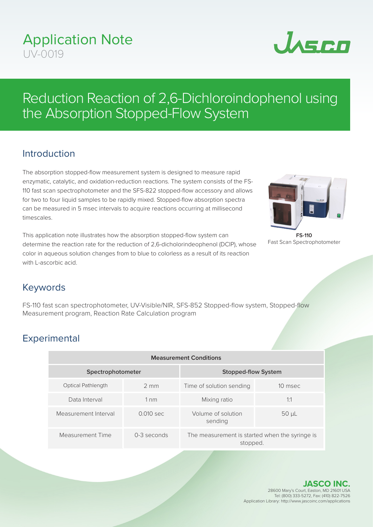## Application Note UV-0019



# Reduction Reaction of 2,6-Dichloroindophenol using the Absorption Stopped-Flow System

### Introduction

The absorption stopped-flow measurement system is designed to measure rapid enzymatic, catalytic, and oxidation-reduction reactions. The system consists of the FS-110 fast scan spectrophotometer and the SFS-822 stopped-flow accessory and allows for two to four liquid samples to be rapidly mixed. Stopped-flow absorption spectra can be measured in 5 msec intervals to acquire reactions occurring at millisecond timescales.

This application note illustrates how the absorption stopped-flow system can determine the reaction rate for the reduction of 2,6-dicholorindeophenol (DCIP), whose color in aqueous solution changes from to blue to colorless as a result of its reaction with L-ascorbic acid.



**FS-110** Fast Scan Spectrophotometer

#### Keywords

FS-110 fast scan spectrophotometer, UV-Visible/NIR, SFS-852 Stopped-flow system, Stopped-flow Measurement program, Reaction Rate Calculation program

## **Experimental**

| <b>Measurement Conditions</b> |                |                                                            |            |
|-------------------------------|----------------|------------------------------------------------------------|------------|
| Spectrophotometer             |                | Stopped-flow System                                        |            |
| <b>Optical Pathlength</b>     | $2 \text{ mm}$ | Time of solution sending                                   | 10 msec    |
| Data Interval                 | $1 \text{ nm}$ | Mixing ratio                                               | 1:1        |
| Measurement Interval          | 0.010 sec      | Volume of solution<br>sending                              | $50 \mu L$ |
| Measurement Time              | 0-3 seconds    | The measurement is started when the syringe is<br>stopped. |            |